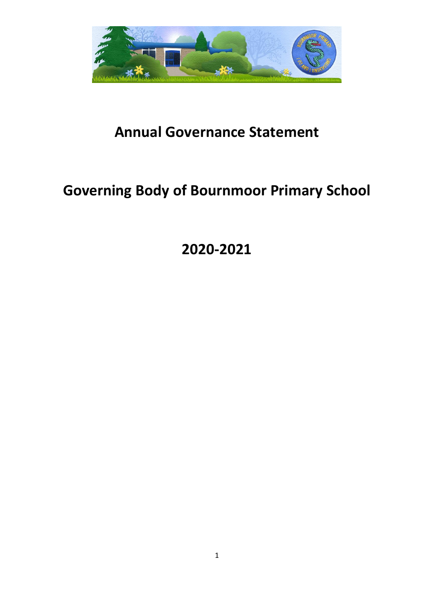

# **Annual Governance Statement**

# **Governing Body of Bournmoor Primary School**

**2020-2021**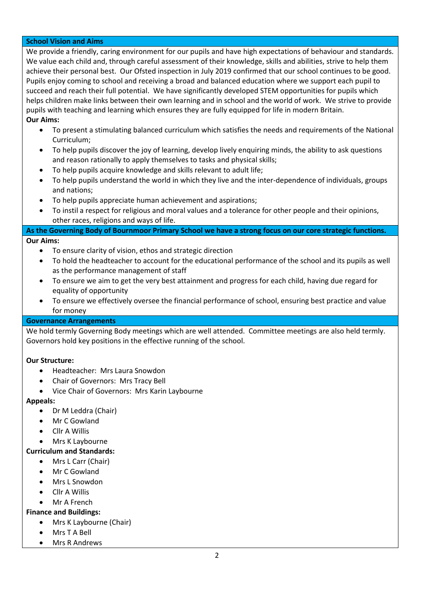## **School Vision and Aims**

We provide a friendly, caring environment for our pupils and have high expectations of behaviour and standards. We value each child and, through careful assessment of their knowledge, skills and abilities, strive to help them achieve their personal best. Our Ofsted inspection in July 2019 confirmed that our school continues to be good. Pupils enjoy coming to school and receiving a broad and balanced education where we support each pupil to succeed and reach their full potential. We have significantly developed STEM opportunities for pupils which helps children make links between their own learning and in school and the world of work. We strive to provide pupils with teaching and learning which ensures they are fully equipped for life in modern Britain. **Our Aims:**

- To present a stimulating balanced curriculum which satisfies the needs and requirements of the National Curriculum;
- To help pupils discover the joy of learning, develop lively enquiring minds, the ability to ask questions and reason rationally to apply themselves to tasks and physical skills;
- To help pupils acquire knowledge and skills relevant to adult life;
- To help pupils understand the world in which they live and the inter-dependence of individuals, groups and nations;
- To help pupils appreciate human achievement and aspirations;
- To instil a respect for religious and moral values and a tolerance for other people and their opinions, other races, religions and ways of life.

### **As the Governing Body of Bournmoor Primary School we have a strong focus on our core strategic functions. Our Aims:**

- To ensure clarity of vision, ethos and strategic direction
- To hold the headteacher to account for the educational performance of the school and its pupils as well as the performance management of staff
- To ensure we aim to get the very best attainment and progress for each child, having due regard for equality of opportunity
- To ensure we effectively oversee the financial performance of school, ensuring best practice and value for money

#### **Governance Arrangements**

We hold termly Governing Body meetings which are well attended. Committee meetings are also held termly. Governors hold key positions in the effective running of the school.

#### **Our Structure:**

- Headteacher: Mrs Laura Snowdon
- Chair of Governors: Mrs Tracy Bell
- Vice Chair of Governors: Mrs Karin Laybourne

#### **Appeals:**

- Dr M Leddra (Chair)
- Mr C Gowland
- Cllr A Willis
- Mrs K Laybourne

## **Curriculum and Standards:**

- Mrs L Carr (Chair)
- Mr C Gowland
- Mrs L Snowdon
- Cllr A Willis
- Mr A French

## **Finance and Buildings:**

- Mrs K Laybourne (Chair)
- Mrs T A Bell
- Mrs R Andrews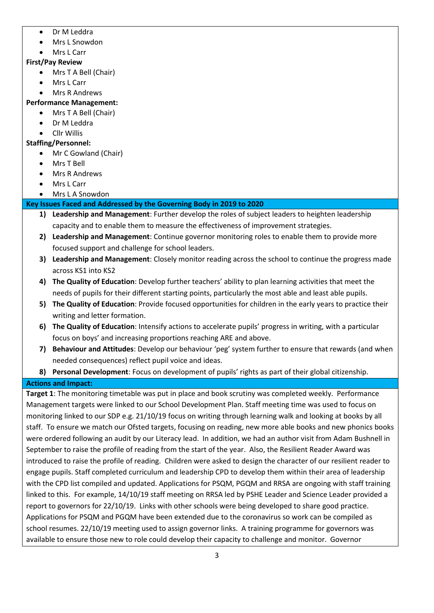- Dr M Leddra
- Mrs L Snowdon
- Mrs L Carr

## **First/Pay Review**

- Mrs T A Bell (Chair)
- Mrs L Carr
- Mrs R Andrews

## **Performance Management:**

- Mrs T A Bell (Chair)
- Dr M Leddra
- Cllr Willis

# **Staffing/Personnel:**

- Mr C Gowland (Chair)
- Mrs T Bell
- Mrs R Andrews
- Mrs L Carr
- Mrs L A Snowdon

# **Key Issues Faced and Addressed by the Governing Body in 2019 to 2020**

- **1) Leadership and Management**: Further develop the roles of subject leaders to heighten leadership capacity and to enable them to measure the effectiveness of improvement strategies.
- **2) Leadership and Management**: Continue governor monitoring roles to enable them to provide more focused support and challenge for school leaders.
- **3) Leadership and Management**: Closely monitor reading across the school to continue the progress made across KS1 into KS2
- **4) The Quality of Education**: Develop further teachers' ability to plan learning activities that meet the needs of pupils for their different starting points, particularly the most able and least able pupils.
- **5) The Quality of Education**: Provide focused opportunities for children in the early years to practice their writing and letter formation.
- **6) The Quality of Education**: Intensify actions to accelerate pupils' progress in writing, with a particular focus on boys' and increasing proportions reaching ARE and above.
- **7) Behaviour and Attitudes**: Develop our behaviour 'peg' system further to ensure that rewards (and when needed consequences) reflect pupil voice and ideas.
- **8) Personal Development**: Focus on development of pupils' rights as part of their global citizenship.

## **Actions and Impact:**

**Target 1**: The monitoring timetable was put in place and book scrutiny was completed weekly. Performance Management targets were linked to our School Development Plan. Staff meeting time was used to focus on monitoring linked to our SDP e.g. 21/10/19 focus on writing through learning walk and looking at books by all staff. To ensure we match our Ofsted targets, focusing on reading, new more able books and new phonics books were ordered following an audit by our Literacy lead. In addition, we had an author visit from Adam Bushnell in September to raise the profile of reading from the start of the year. Also, the Resilient Reader Award was introduced to raise the profile of reading. Children were asked to design the character of our resilient reader to engage pupils. Staff completed curriculum and leadership CPD to develop them within their area of leadership with the CPD list compiled and updated. Applications for PSQM, PGQM and RRSA are ongoing with staff training linked to this. For example, 14/10/19 staff meeting on RRSA led by PSHE Leader and Science Leader provided a report to governors for 22/10/19. Links with other schools were being developed to share good practice. Applications for PSQM and PGQM have been extended due to the coronavirus so work can be compiled as school resumes. 22/10/19 meeting used to assign governor links. A training programme for governors was available to ensure those new to role could develop their capacity to challenge and monitor. Governor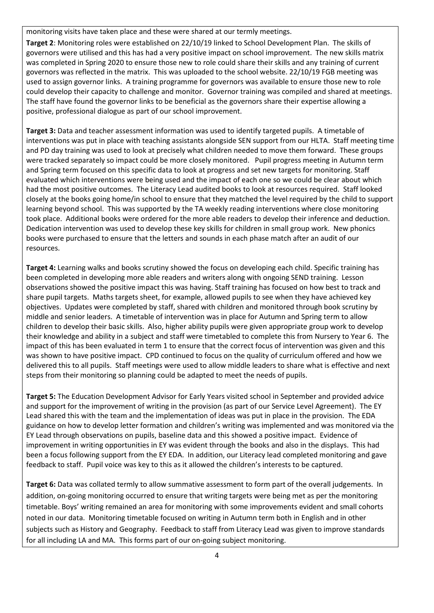monitoring visits have taken place and these were shared at our termly meetings.

**Target 2**: Monitoring roles were established on 22/10/19 linked to School Development Plan. The skills of governors were utilised and this has had a very positive impact on school improvement. The new skills matrix was completed in Spring 2020 to ensure those new to role could share their skills and any training of current governors was reflected in the matrix. This was uploaded to the school website. 22/10/19 FGB meeting was used to assign governor links. A training programme for governors was available to ensure those new to role could develop their capacity to challenge and monitor. Governor training was compiled and shared at meetings. The staff have found the governor links to be beneficial as the governors share their expertise allowing a positive, professional dialogue as part of our school improvement.

**Target 3:** Data and teacher assessment information was used to identify targeted pupils. A timetable of interventions was put in place with teaching assistants alongside SEN support from our HLTA. Staff meeting time and PD day training was used to look at precisely what children needed to move them forward. These groups were tracked separately so impact could be more closely monitored. Pupil progress meeting in Autumn term and Spring term focused on this specific data to look at progress and set new targets for monitoring. Staff evaluated which interventions were being used and the impact of each one so we could be clear about which had the most positive outcomes. The Literacy Lead audited books to look at resources required. Staff looked closely at the books going home/in school to ensure that they matched the level required by the child to support learning beyond school. This was supported by the TA weekly reading interventions where close monitoring took place. Additional books were ordered for the more able readers to develop their inference and deduction. Dedication intervention was used to develop these key skills for children in small group work. New phonics books were purchased to ensure that the letters and sounds in each phase match after an audit of our resources.

**Target 4:** Learning walks and books scrutiny showed the focus on developing each child. Specific training has been completed in developing more able readers and writers along with ongoing SEND training. Lesson observations showed the positive impact this was having. Staff training has focused on how best to track and share pupil targets. Maths targets sheet, for example, allowed pupils to see when they have achieved key objectives. Updates were completed by staff, shared with children and monitored through book scrutiny by middle and senior leaders. A timetable of intervention was in place for Autumn and Spring term to allow children to develop their basic skills. Also, higher ability pupils were given appropriate group work to develop their knowledge and ability in a subject and staff were timetabled to complete this from Nursery to Year 6. The impact of this has been evaluated in term 1 to ensure that the correct focus of intervention was given and this was shown to have positive impact. CPD continued to focus on the quality of curriculum offered and how we delivered this to all pupils. Staff meetings were used to allow middle leaders to share what is effective and next steps from their monitoring so planning could be adapted to meet the needs of pupils.

**Target 5:** The Education Development Advisor for Early Years visited school in September and provided advice and support for the improvement of writing in the provision (as part of our Service Level Agreement). The EY Lead shared this with the team and the implementation of ideas was put in place in the provision. The EDA guidance on how to develop letter formation and children's writing was implemented and was monitored via the EY Lead through observations on pupils, baseline data and this showed a positive impact. Evidence of improvement in writing opportunities in EY was evident through the books and also in the displays. This had been a focus following support from the EY EDA. In addition, our Literacy lead completed monitoring and gave feedback to staff. Pupil voice was key to this as it allowed the children's interests to be captured.

**Target 6:** Data was collated termly to allow summative assessment to form part of the overall judgements. In addition, on-going monitoring occurred to ensure that writing targets were being met as per the monitoring timetable. Boys' writing remained an area for monitoring with some improvements evident and small cohorts noted in our data. Monitoring timetable focused on writing in Autumn term both in English and in other subjects such as History and Geography. Feedback to staff from Literacy Lead was given to improve standards for all including LA and MA. This forms part of our on-going subject monitoring.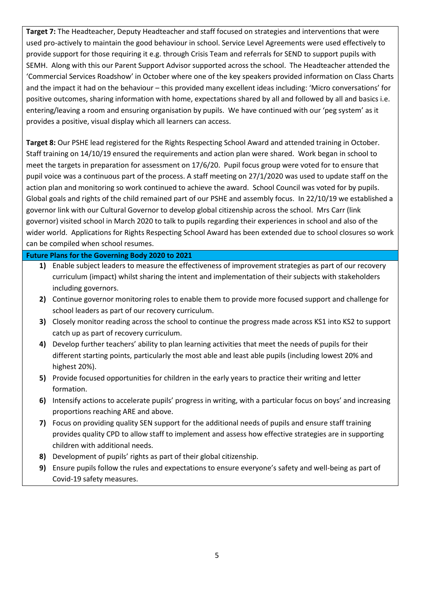**Target 7:** The Headteacher, Deputy Headteacher and staff focused on strategies and interventions that were used pro-actively to maintain the good behaviour in school. Service Level Agreements were used effectively to provide support for those requiring it e.g. through Crisis Team and referrals for SEND to support pupils with SEMH. Along with this our Parent Support Advisor supported across the school. The Headteacher attended the 'Commercial Services Roadshow' in October where one of the key speakers provided information on Class Charts and the impact it had on the behaviour – this provided many excellent ideas including: 'Micro conversations' for positive outcomes, sharing information with home, expectations shared by all and followed by all and basics i.e. entering/leaving a room and ensuring organisation by pupils. We have continued with our 'peg system' as it provides a positive, visual display which all learners can access.

**Target 8:** Our PSHE lead registered for the Rights Respecting School Award and attended training in October. Staff training on 14/10/19 ensured the requirements and action plan were shared. Work began in school to meet the targets in preparation for assessment on 17/6/20. Pupil focus group were voted for to ensure that pupil voice was a continuous part of the process. A staff meeting on 27/1/2020 was used to update staff on the action plan and monitoring so work continued to achieve the award. School Council was voted for by pupils. Global goals and rights of the child remained part of our PSHE and assembly focus. In 22/10/19 we established a governor link with our Cultural Governor to develop global citizenship across the school. Mrs Carr (link governor) visited school in March 2020 to talk to pupils regarding their experiences in school and also of the wider world. Applications for Rights Respecting School Award has been extended due to school closures so work can be compiled when school resumes.

#### **Future Plans for the Governing Body 2020 to 2021**

- **1)** Enable subject leaders to measure the effectiveness of improvement strategies as part of our recovery curriculum (impact) whilst sharing the intent and implementation of their subjects with stakeholders including governors.
- **2)** Continue governor monitoring roles to enable them to provide more focused support and challenge for school leaders as part of our recovery curriculum.
- **3)** Closely monitor reading across the school to continue the progress made across KS1 into KS2 to support catch up as part of recovery curriculum.
- **4)** Develop further teachers' ability to plan learning activities that meet the needs of pupils for their different starting points, particularly the most able and least able pupils (including lowest 20% and highest 20%).
- **5)** Provide focused opportunities for children in the early years to practice their writing and letter formation.
- **6)** Intensify actions to accelerate pupils' progress in writing, with a particular focus on boys' and increasing proportions reaching ARE and above.
- **7)** Focus on providing quality SEN support for the additional needs of pupils and ensure staff training provides quality CPD to allow staff to implement and assess how effective strategies are in supporting children with additional needs.
- **8)** Development of pupils' rights as part of their global citizenship.
- **9)** Ensure pupils follow the rules and expectations to ensure everyone's safety and well-being as part of Covid-19 safety measures.